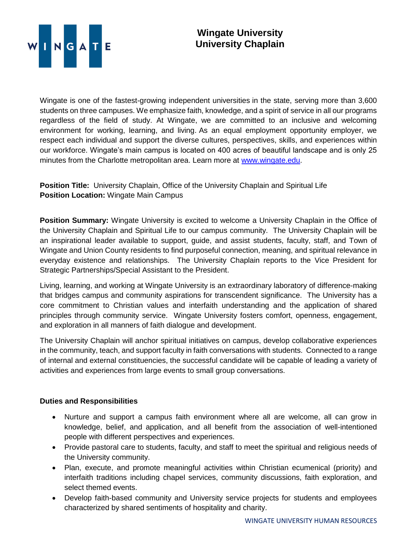

Wingate is one of the fastest-growing independent universities in the state, serving more than 3,600 students on three campuses. We emphasize faith, knowledge, and a spirit of service in all our programs regardless of the field of study. At Wingate, we are committed to an inclusive and welcoming environment for working, learning, and living. As an equal employment opportunity employer, we respect each individual and support the diverse cultures, perspectives, skills, and experiences within our workforce. Wingate's main campus is located on 400 acres of beautiful landscape and is only 25 minutes from the Charlotte metropolitan area. Learn more at [www.wingate.edu.](http://www.wingate/edu)

**Position Title:** University Chaplain, Office of the University Chaplain and Spiritual Life **Position Location:** Wingate Main Campus

**Position Summary:** Wingate University is excited to welcome a University Chaplain in the Office of the University Chaplain and Spiritual Life to our campus community. The University Chaplain will be an inspirational leader available to support, guide, and assist students, faculty, staff, and Town of Wingate and Union County residents to find purposeful connection, meaning, and spiritual relevance in everyday existence and relationships. The University Chaplain reports to the Vice President for Strategic Partnerships/Special Assistant to the President.

Living, learning, and working at Wingate University is an extraordinary laboratory of difference-making that bridges campus and community aspirations for transcendent significance. The University has a core commitment to Christian values and interfaith understanding and the application of shared principles through community service. Wingate University fosters comfort, openness, engagement, and exploration in all manners of faith dialogue and development.

The University Chaplain will anchor spiritual initiatives on campus, develop collaborative experiences in the community, teach, and support faculty in faith conversations with students. Connected to a range of internal and external constituencies, the successful candidate will be capable of leading a variety of activities and experiences from large events to small group conversations.

## **Duties and Responsibilities**

- Nurture and support a campus faith environment where all are welcome, all can grow in knowledge, belief, and application, and all benefit from the association of well-intentioned people with different perspectives and experiences.
- Provide pastoral care to students, faculty, and staff to meet the spiritual and religious needs of the University community.
- Plan, execute, and promote meaningful activities within Christian ecumenical (priority) and interfaith traditions including chapel services, community discussions, faith exploration, and select themed events.
- Develop faith-based community and University service projects for students and employees characterized by shared sentiments of hospitality and charity.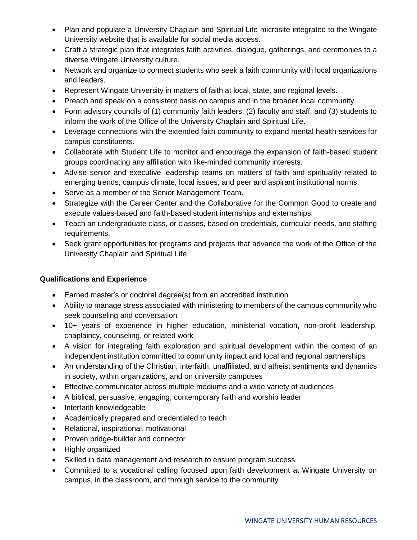- Plan and populate a University Chaplain and Spiritual Life microsite integrated to the Wingate University website that is available for social media access.
- Craft a strategic plan that integrates faith activities, dialogue, gatherings, and ceremonies to a diverse Wingate University culture.
- Network and organize to connect students who seek a faith community with local organizations and leaders.
- Represent Wingate University in matters of faith at local, state, and regional levels.
- Preach and speak on a consistent basis on campus and in the broader local community.
- Form advisory councils of (1) community faith leaders; (2) faculty and staff; and (3) students to inform the work of the Office of the University Chaplain and Spiritual Life.
- Leverage connections with the extended faith community to expand mental health services for campus constituents.
- Collaborate with Student Life to monitor and encourage the expansion of faith-based student groups coordinating any affiliation with like-minded community interests.
- Advise senior and executive leadership teams on matters of faith and spirituality related to emerging trends, campus climate, local issues, and peer and aspirant institutional norms.
- Serve as a member of the Senior Management Team.
- Strategize with the Career Center and the Collaborative for the Common Good to create and execute values-based and faith-based student internships and externships.
- Teach an undergraduate class, or classes, based on credentials, curricular needs, and staffing requirements.
- Seek grant opportunities for programs and projects that advance the work of the Office of the University Chaplain and Spiritual Life.

## **Qualifications and Experience**

- Earned master's or doctoral degree(s) from an accredited institution
- Ability to manage stress associated with ministering to members of the campus community who seek counseling and conversation
- 10+ years of experience in higher education, ministerial vocation, non-profit leadership, chaplaincy, counseling, or related work
- A vision for integrating faith exploration and spiritual development within the context of an independent institution committed to community impact and local and regional partnerships
- An understanding of the Christian, interfaith, unaffiliated, and atheist sentiments and dynamics in society, within organizations, and on university campuses
- Effective communicator across multiple mediums and a wide variety of audiences
- A biblical, persuasive, engaging, contemporary faith and worship leader
- Interfaith knowledgeable
- Academically prepared and credentialed to teach
- Relational, inspirational, motivational
- Proven bridge-builder and connector
- Highly organized
- Skilled in data management and research to ensure program success
- Committed to a vocational calling focused upon faith development at Wingate University on campus, in the classroom, and through service to the community